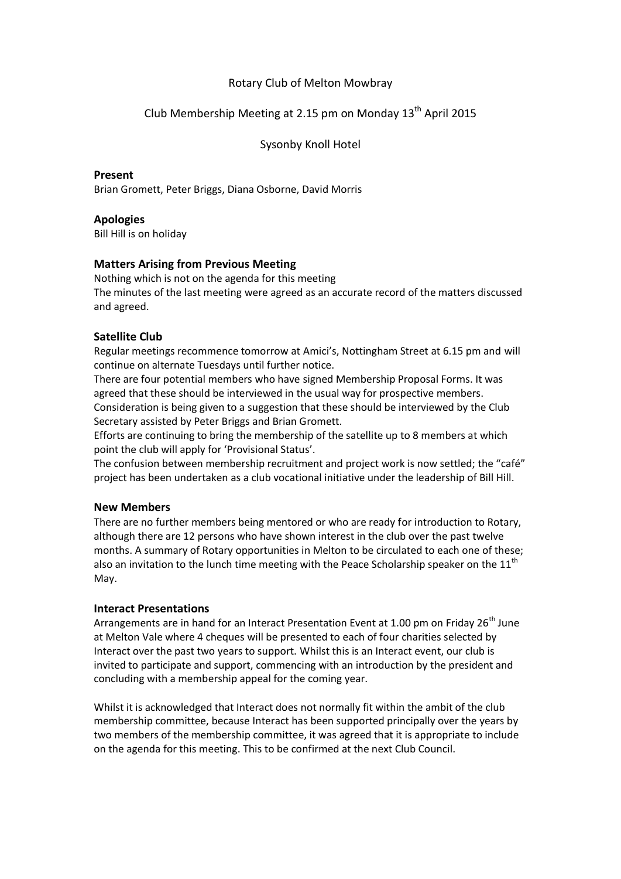## Rotary Club of Melton Mowbray

# Club Membership Meeting at 2.15 pm on Monday  $13<sup>th</sup>$  April 2015

Sysonby Knoll Hotel

#### **Present**

Brian Gromett, Peter Briggs, Diana Osborne, David Morris

## **Apologies**

Bill Hill is on holiday

## **Matters Arising from Previous Meeting**

Nothing which is not on the agenda for this meeting The minutes of the last meeting were agreed as an accurate record of the matters discussed and agreed.

## **Satellite Club**

Regular meetings recommence tomorrow at Amici's, Nottingham Street at 6.15 pm and will continue on alternate Tuesdays until further notice.

There are four potential members who have signed Membership Proposal Forms. It was agreed that these should be interviewed in the usual way for prospective members. Consideration is being given to a suggestion that these should be interviewed by the Club Secretary assisted by Peter Briggs and Brian Gromett.

Efforts are continuing to bring the membership of the satellite up to 8 members at which point the club will apply for 'Provisional Status'.

The confusion between membership recruitment and project work is now settled; the "café" project has been undertaken as a club vocational initiative under the leadership of Bill Hill.

#### **New Members**

There are no further members being mentored or who are ready for introduction to Rotary, although there are 12 persons who have shown interest in the club over the past twelve months. A summary of Rotary opportunities in Melton to be circulated to each one of these; also an invitation to the lunch time meeting with the Peace Scholarship speaker on the  $11^{\text{th}}$ May.

#### **Interact Presentations**

Arrangements are in hand for an Interact Presentation Event at 1.00 pm on Friday 26<sup>th</sup> June at Melton Vale where 4 cheques will be presented to each of four charities selected by Interact over the past two years to support. Whilst this is an Interact event, our club is invited to participate and support, commencing with an introduction by the president and concluding with a membership appeal for the coming year.

Whilst it is acknowledged that Interact does not normally fit within the ambit of the club membership committee, because Interact has been supported principally over the years by two members of the membership committee, it was agreed that it is appropriate to include on the agenda for this meeting. This to be confirmed at the next Club Council.